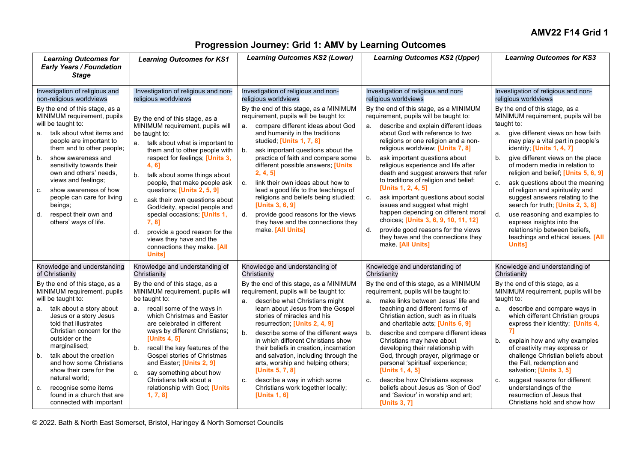## **Progression Journey: Grid 1: AMV by Learning Outcomes**

| <b>Learning Outcomes for</b><br><b>Early Years / Foundation</b><br><b>Stage</b>                                                                                                                                                                                                                                                                                                                                                                                                           | <b>Learning Outcomes for KS1</b>                                                                                                                                                                                                                                                                                                                                                                                                                                                                                                                                                                                            | <b>Learning Outcomes KS2 (Lower)</b>                                                                                                                                                                                                                                                                                                                                                                                                                                                                                                                                                                                                      | <b>Learning Outcomes KS2 (Upper)</b>                                                                                                                                                                                                                                                                                                                                                                                                                                                                                                                                                                                                                                                                                                                                          | <b>Learning Outcomes for KS3</b>                                                                                                                                                                                                                                                                                                                                                                                                                                                                                                                                                                                                                                                               |
|-------------------------------------------------------------------------------------------------------------------------------------------------------------------------------------------------------------------------------------------------------------------------------------------------------------------------------------------------------------------------------------------------------------------------------------------------------------------------------------------|-----------------------------------------------------------------------------------------------------------------------------------------------------------------------------------------------------------------------------------------------------------------------------------------------------------------------------------------------------------------------------------------------------------------------------------------------------------------------------------------------------------------------------------------------------------------------------------------------------------------------------|-------------------------------------------------------------------------------------------------------------------------------------------------------------------------------------------------------------------------------------------------------------------------------------------------------------------------------------------------------------------------------------------------------------------------------------------------------------------------------------------------------------------------------------------------------------------------------------------------------------------------------------------|-------------------------------------------------------------------------------------------------------------------------------------------------------------------------------------------------------------------------------------------------------------------------------------------------------------------------------------------------------------------------------------------------------------------------------------------------------------------------------------------------------------------------------------------------------------------------------------------------------------------------------------------------------------------------------------------------------------------------------------------------------------------------------|------------------------------------------------------------------------------------------------------------------------------------------------------------------------------------------------------------------------------------------------------------------------------------------------------------------------------------------------------------------------------------------------------------------------------------------------------------------------------------------------------------------------------------------------------------------------------------------------------------------------------------------------------------------------------------------------|
| Investigation of religious and<br>non-religious worldviews<br>By the end of this stage, as a<br>MINIMUM requirement, pupils<br>will be taught to:<br>a. talk about what items and<br>people are important to<br>them and to other people;<br>show awareness and<br>b.<br>sensitivity towards their<br>own and others' needs,<br>views and feelings;<br>show awareness of how<br>C.<br>people can care for living<br>beings;<br>respect their own and<br>d.<br>others' ways of life.       | Investigation of religious and non-<br>religious worldviews<br>By the end of this stage, as a<br>MINIMUM requirement, pupils will<br>be taught to:<br>talk about what is important to<br>them and to other people with<br>respect for feelings; [Units 3,<br>4, 6]<br>talk about some things about<br>b.<br>people, that make people ask<br>questions; [Units 2, 5, 9]<br>ask their own questions about<br>C <sub>1</sub><br>God/deity, special people and<br>special occasions; [Units 1,<br>$7, 8$ ]<br>provide a good reason for the<br>$d$ .<br>views they have and the<br>connections they make. [All<br><b>Units1</b> | Investigation of religious and non-<br>religious worldviews<br>By the end of this stage, as a MINIMUM<br>requirement, pupils will be taught to:<br>compare different ideas about God<br>a.<br>and humanity in the traditions<br>studied; [Units 1, 7, 8]<br>b.<br>ask important questions about the<br>practice of faith and compare some<br>different possible answers; [Units<br>2, 4, 5<br>link their own ideas about how to<br>C.<br>lead a good life to the teachings of<br>religions and beliefs being studied;<br>[Units 3, 6, 9]<br>provide good reasons for the views<br>they have and the connections they<br>make. [All Units] | Investigation of religious and non-<br>religious worldviews<br>By the end of this stage, as a MINIMUM<br>requirement, pupils will be taught to:<br>describe and explain different ideas<br>a.<br>about God with reference to two<br>religions or one religion and a non-<br>religious worldview; [Units 7, 8]<br>ask important questions about<br>b <sub>1</sub><br>religious experience and life after<br>death and suggest answers that refer<br>to traditions of religion and belief;<br>[Units 1, 2, 4, 5]<br>ask important questions about social<br>c.<br>issues and suggest what might<br>happen depending on different moral<br>choices; [Units 3, 6, 9, 10, 11, 12]<br>provide good reasons for the views<br>they have and the connections they<br>make. [All Units] | Investigation of religious and non-<br>religious worldviews<br>By the end of this stage, as a<br>MINIMUM requirement, pupils will be<br>taught to:<br>give different views on how faith<br>а.<br>may play a vital part in people's<br>identity; [Units 1, 4, 7]<br>give different views on the place<br>b.<br>of modern media in relation to<br>religion and belief; [Units 5, 6, 9]<br>ask questions about the meaning<br>c.<br>of religion and spirituality and<br>suggest answers relating to the<br>search for truth; [Units 2, 3, 8]<br>d.<br>use reasoning and examples to<br>express insights into the<br>relationship between beliefs,<br>teachings and ethical issues. [All<br>Units] |
| Knowledge and understanding<br>of Christianity<br>By the end of this stage, as a<br>MINIMUM requirement, pupils<br>will be taught to:<br>a. talk about a story about<br>Jesus or a story Jesus<br>told that illustrates<br>Christian concern for the<br>outsider or the<br>marginalised;<br>talk about the creation<br>b.<br>and how some Christians<br>show their care for the<br>natural world;<br>recognise some items<br>C.<br>found in a church that are<br>connected with important | Knowledge and understanding of<br>Christianity<br>By the end of this stage, as a<br>MINIMUM requirement, pupils will<br>be taught to:<br>a. recall some of the ways in<br>which Christmas and Easter<br>are celebrated in different<br>ways by different Christians;<br>[Units 4, 5]<br>recall the key features of the<br>b.<br>Gospel stories of Christmas<br>and Easter; [Units 2, 9]<br>say something about how<br>C.<br>Christians talk about a<br>relationship with God; [Units<br>$1, 7, 8$ ]                                                                                                                         | Knowledge and understanding of<br>Christianity<br>By the end of this stage, as a MINIMUM<br>requirement, pupils will be taught to:<br>describe what Christians might<br>learn about Jesus from the Gospel<br>stories of miracles and his<br>resurrection; [Units 2, 4, 9]<br>describe some of the different ways<br>b.<br>in which different Christians show<br>their beliefs in creation, incarnation<br>and salvation, including through the<br>arts, worship and helping others;<br>[Units 5, 7, 8]<br>describe a way in which some<br>c.<br>Christians work together locally;<br>[Units 1, 6]                                         | Knowledge and understanding of<br>Christianity<br>By the end of this stage, as a MINIMUM<br>requirement, pupils will be taught to:<br>make links between Jesus' life and<br>teaching and different forms of<br>Christian action, such as in rituals<br>and charitable acts; [Units 6, 9]<br>describe and compare different ideas<br>b.<br>Christians may have about<br>developing their relationship with<br>God, through prayer, pilgrimage or<br>personal 'spiritual' experience;<br>[Units 1, 4, 5]<br>describe how Christians express<br>c.<br>beliefs about Jesus as 'Son of God'<br>and 'Saviour' in worship and art;<br>[Units 3, 7]                                                                                                                                   | Knowledge and understanding of<br>Christianity<br>By the end of this stage, as a<br>MINIMUM requirement, pupils will be<br>taught to:<br>describe and compare ways in<br>а.<br>which different Christian groups<br>express their identity; [Units 4,<br>71<br>b.<br>explain how and why examples<br>of creativity may express or<br>challenge Christian beliefs about<br>the Fall, redemption and<br>salvation; [Units 3, 5]<br>suggest reasons for different<br>C.<br>understandings of the<br>resurrection of Jesus that<br>Christians hold and show how                                                                                                                                     |